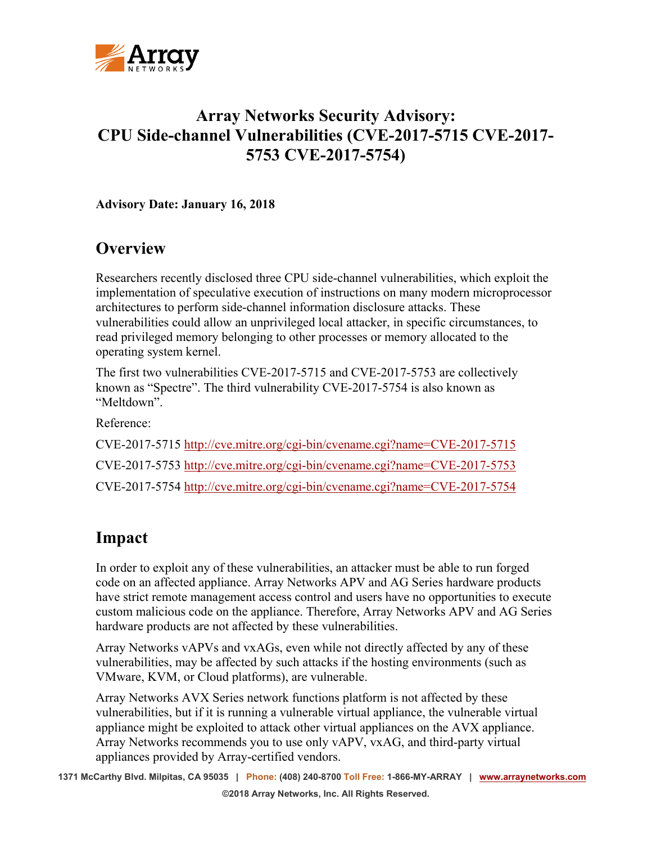

## **Array Networks Security Advisory: CPU Side-channel Vulnerabilities (CVE-2017-5715 CVE-2017- 5753 CVE-2017-5754)**

**Advisory Date: January 16, 2018**

## **Overview**

Researchers recently disclosed three CPU side-channel vulnerabilities, which exploit the implementation of speculative execution of instructions on many modern microprocessor architectures to perform side-channel information disclosure attacks. These vulnerabilities could allow an unprivileged local attacker, in specific circumstances, to read privileged memory belonging to other processes or memory allocated to the operating system kernel.

The first two vulnerabilities CVE-2017-5715 and CVE-2017-5753 are collectively known as "Spectre". The third vulnerability CVE-2017-5754 is also known as "Meltdown".

Reference:

CVE-2017-5715 <http://cve.mitre.org/cgi-bin/cvename.cgi?name=CVE-2017-5715> CVE-2017-5753 <http://cve.mitre.org/cgi-bin/cvename.cgi?name=CVE-2017-5753> CVE-2017-5754 <http://cve.mitre.org/cgi-bin/cvename.cgi?name=CVE-2017-5754>

## **Impact**

In order to exploit any of these vulnerabilities, an attacker must be able to run forged code on an affected appliance. Array Networks APV and AG Series hardware products have strict remote management access control and users have no opportunities to execute custom malicious code on the appliance. Therefore, Array Networks APV and AG Series hardware products are not affected by these vulnerabilities.

Array Networks vAPVs and vxAGs, even while not directly affected by any of these vulnerabilities, may be affected by such attacks if the hosting environments (such as VMware, KVM, or Cloud platforms), are vulnerable.

Array Networks AVX Series network functions platform is not affected by these vulnerabilities, but if it is running a vulnerable virtual appliance, the vulnerable virtual appliance might be exploited to attack other virtual appliances on the AVX appliance. Array Networks recommends you to use only vAPV, vxAG, and third-party virtual appliances provided by Array-certified vendors.